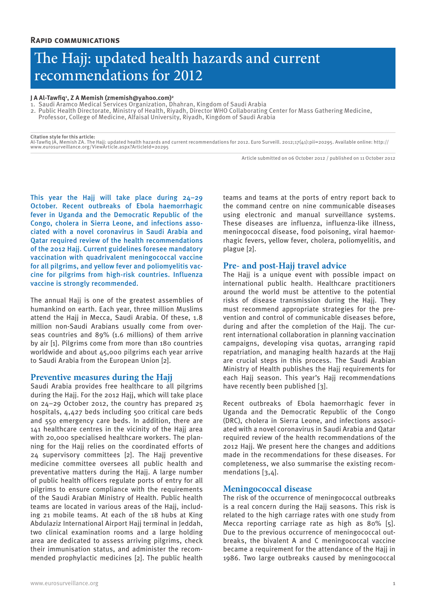# The Hajj: updated health hazards and current recommendations for 2012

#### **J A Al-Tawfiq1 , Z A Memish (zmemish@yahoo.com)2**

- 1. Saudi Aramco Medical Services Organization, Dhahran, Kingdom of Saudi Arabia
- 2. Public Health Directorate, Ministry of Health, Riyadh, Director WHO Collaborating Center for Mass Gathering Medicine,
- Professor, College of Medicine, Alfaisal University, Riyadh, Kingdom of Saudi Arabia

#### **Citation style for this article:**

Al-Tawfiq JA, Memish ZA. The Hajj: updated health hazards and current recommendations for 2012. Euro Surveill. 2012;17(41):pii=20295. Available online: http:// www.eurosurveillance.org/ViewArticle.aspx?ArticleId=20295

Article submitted on 06 October 2012 / published on 11 October 2012

This year the Hajj will take place during 24–29 October. Recent outbreaks of Ebola haemorrhagic fever in Uganda and the Democratic Republic of the Congo, cholera in Sierra Leone, and infections associated with a novel coronavirus in Saudi Arabia and Qatar required review of the health recommendations of the 2012 Hajj. Current guidelines foresee mandatory vaccination with quadrivalent meningococcal vaccine for all pilgrims, and yellow fever and poliomyelitis vaccine for pilgrims from high-risk countries. Influenza vaccine is strongly recommended.

The annual Hajj is one of the greatest assemblies of humankind on earth. Each year, three million Muslims attend the Hajj in Mecca, Saudi Arabia. Of these, 1.8 million non-Saudi Arabians usually come from overseas countries and 89% (1.6 millions) of them arrive by air [1]. Pilgrims come from more than 180 countries worldwide and about 45,000 pilgrims each year arrive to Saudi Arabia from the European Union [2].

#### **Preventive measures during the Hajj**

Saudi Arabia provides free healthcare to all pilgrims during the Hajj. For the 2012 Hajj, which will take place on 24–29 October 2012, the country has prepared 25 hospitals, 4,427 beds including 500 critical care beds and 550 emergency care beds. In addition, there are 141 healthcare centres in the vicinity of the Hajj area with 20,000 specialised healthcare workers. The planning for the Hajj relies on the coordinated efforts of 24 supervisory committees [2]. The Hajj preventive medicine committee oversees all public health and preventative matters during the Hajj. A large number of public health officers regulate ports of entry for all pilgrims to ensure compliance with the requirements of the Saudi Arabian Ministry of Health. Public health teams are located in various areas of the Hajj, including 21 mobile teams. At each of the 18 hubs at King Abdulaziz International Airport Hajj terminal in Jeddah, two clinical examination rooms and a large holding area are dedicated to assess arriving pilgrims, check their immunisation status, and administer the recommended prophylactic medicines [2]. The public health teams and teams at the ports of entry report back to the command centre on nine communicable diseases using electronic and manual surveillance systems. These diseases are influenza, influenza-like illness, meningococcal disease, food poisoning, viral haemorrhagic fevers, yellow fever, cholera, poliomyelitis, and plague [2].

# **Pre- and post-Hajj travel advice**

The Hajj is a unique event with possible impact on international public health. Healthcare practitioners around the world must be attentive to the potential risks of disease transmission during the Hajj. They must recommend appropriate strategies for the prevention and control of communicable diseases before, during and after the completion of the Hajj. The current international collaboration in planning vaccination campaigns, developing visa quotas, arranging rapid repatriation, and managing health hazards at the Hajj are crucial steps in this process. The Saudi Arabian Ministry of Health publishes the Hajj requirements for each Hajj season. This year's Hajj recommendations have recently been published [3].

Recent outbreaks of Ebola haemorrhagic fever in Uganda and the Democratic Republic of the Congo (DRC), cholera in Sierra Leone, and infections associated with a novel coronavirus in Saudi Arabia and Qatar required review of the health recommendations of the 2012 Hajj. We present here the changes and additions made in the recommendations for these diseases. For completeness, we also summarise the existing recommendations [3,4].

# **Meningococcal disease**

The risk of the occurrence of meningococcal outbreaks is a real concern during the Hajj seasons. This risk is related to the high carriage rates with one study from Mecca reporting carriage rate as high as 80% [5]. Due to the previous occurrence of meningococcal outbreaks, the bivalent A and C meningococcal vaccine became a requirement for the attendance of the Hajj in 1986. Two large outbreaks caused by meningococcal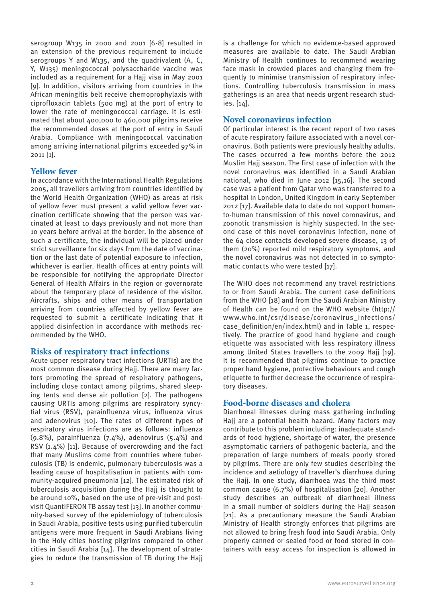serogroup W135 in 2000 and 2001 [6-8] resulted in an extension of the previous requirement to include serogroups Y and W135, and the quadrivalent (A, C, Y, W135) meningococcal polysaccharide vaccine was included as a requirement for a Hajj visa in May 2001 [9]. In addition, visitors arriving from countries in the African meningitis belt receive chemoprophylaxis with ciprofloxacin tablets (500 mg) at the port of entry to lower the rate of meningococcal carriage. It is estimated that about 400,000 to 460,000 pilgrims receive the recommended doses at the port of entry in Saudi Arabia. Compliance with meningococcal vaccination among arriving international pilgrims exceeded 97% in 2011 [1].

# **Yellow fever**

In accordance with the International Health Regulations 2005, all travellers arriving from countries identified by the World Health Organization (WHO) as areas at risk of yellow fever must present a valid yellow fever vaccination certificate showing that the person was vaccinated at least 10 days previously and not more than 10 years before arrival at the border. In the absence of such a certificate, the individual will be placed under strict surveillance for six days from the date of vaccination or the last date of potential exposure to infection, whichever is earlier. Health offices at entry points will be responsible for notifying the appropriate Director General of Health Affairs in the region or governorate about the temporary place of residence of the visitor. Aircrafts, ships and other means of transportation arriving from countries affected by yellow fever are requested to submit a certificate indicating that it applied disinfection in accordance with methods recommended by the WHO.

#### **Risks of respiratory tract infections**

Acute upper respiratory tract infections (URTIs) are the most common disease during Hajj. There are many factors promoting the spread of respiratory pathogens, including close contact among pilgrims, shared sleeping tents and dense air pollution [2]. The pathogens causing URTIs among pilgrims are respiratory syncytial virus (RSV), parainfluenza virus, influenza virus and adenovirus [10]. The rates of different types of respiratory virus infections are as follows: influenza  $(9.8\%)$ , parainfluenza  $(7.4\%)$ , adenovirus  $(5.4\%)$  and RSV (1.4%) [11]. Because of overcrowding and the fact that many Muslims come from countries where tuberculosis (TB) is endemic, pulmonary tuberculosis was a leading cause of hospitalisation in patients with community-acquired pneumonia [12]. The estimated risk of tuberculosis acquisition during the Hajj is thought to be around 10%, based on the use of pre-visit and postvisit QuantiFERON TB assay test [13]. In another community-based survey of the epidemiology of tuberculosis in Saudi Arabia, positive tests using purified tuberculin antigens were more frequent in Saudi Arabians living in the Holy cities hosting pilgrims compared to other cities in Saudi Arabia [14]. The development of strategies to reduce the transmission of TB during the Hajj is a challenge for which no evidence-based approved measures are available to date. The Saudi Arabian Ministry of Health continues to recommend wearing face mask in crowded places and changing them frequently to minimise transmission of respiratory infections. Controlling tuberculosis transmission in mass gatherings is an area that needs urgent research studies. [14].

# **Novel coronavirus infection**

Of particular interest is the recent report of two cases of acute respiratory failure associated with a novel coronavirus. Both patients were previously healthy adults. The cases occurred a few months before the 2012 Muslim Hajj season. The first case of infection with the novel coronavirus was identified in a Saudi Arabian national, who died in June 2012 [15,16]. The second case was a patient from Qatar who was transferred to a hospital in London, United Kingdom in early September 2012 [17]. Available data to date do not support humanto-human transmission of this novel coronavirus, and zoonotic transmission is highly suspected. In the second case of this novel coronavirus infection, none of the 64 close contacts developed severe disease, 13 of them (20%) reported mild respiratory symptoms, and the novel coronavirus was not detected in 10 symptomatic contacts who were tested [17].

The WHO does not recommend any travel restrictions to or from Saudi Arabia. The current case definitions from the WHO [18] and from the Saudi Arabian Ministry of Health can be found on the WHO website (http:// www.who.int/csr/disease/coronavirus\_infections/ case\_definition/en/index.html) and in Table 1, respectively. The practice of good hand hygiene and cough etiquette was associated with less respiratory illness among United States travellers to the 2009 Hajj [19]. It is recommended that pilgrims continue to practice proper hand hygiene, protective behaviours and cough etiquette to further decrease the occurrence of respiratory diseases.

#### **Food-borne diseases and cholera**

Diarrhoeal illnesses during mass gathering including Hajj are a potential health hazard. Many factors may contribute to this problem including: inadequate standards of food hygiene, shortage of water, the presence asymptomatic carriers of pathogenic bacteria, and the preparation of large numbers of meals poorly stored by pilgrims. There are only few studies describing the incidence and aetiology of traveller's diarrhoea during the Hajj. In one study, diarrhoea was the third most common cause (6.7%) of hospitalisation [20]. Another study describes an outbreak of diarrhoeal illness in a small number of soldiers during the Hajj season [21]. As a precautionary measure the Saudi Arabian Ministry of Health strongly enforces that pilgrims are not allowed to bring fresh food into Saudi Arabia. Only properly canned or sealed food or food stored in containers with easy access for inspection is allowed in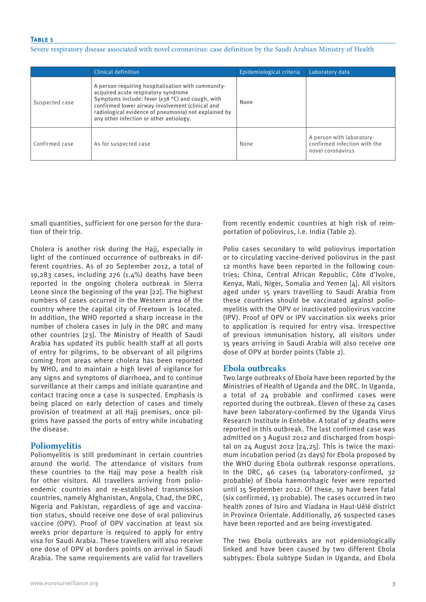#### **Table 1**

Severe respiratory disease associated with novel coronavirus: case definition by the Saudi Arabian Ministry of Health

|                | Clinical definition                                                                                                                                                                                                                                                                                        | Epidemiological criteria | Laboratory data                                                                |
|----------------|------------------------------------------------------------------------------------------------------------------------------------------------------------------------------------------------------------------------------------------------------------------------------------------------------------|--------------------------|--------------------------------------------------------------------------------|
| Suspected case | A person requiring hospitalisation with community-<br>acquired acute respiratory syndrome<br>Symptoms include: fever $(\geq 38$ °C) and cough, with<br>confirmed lower airway involvement (clinical and<br>radiological evidence of pneumonia) not explained by<br>any other infection or other aetiology. | None                     |                                                                                |
| Confirmed case | As for suspected case                                                                                                                                                                                                                                                                                      | None                     | A person with laboratory-<br>confirmed infection with the<br>novel coronavirus |

small quantities, sufficient for one person for the duration of their trip.

Cholera is another risk during the Hajj, especially in light of the continued occurrence of outbreaks in different countries. As of 20 September 2012, a total of 19,283 cases, including  $276$  (1.4%) deaths have been reported in the ongoing cholera outbreak in Sierra Leone since the beginning of the year [22]. The highest numbers of cases occurred in the Western area of the country where the capital city of Freetown is located. In addition, the WHO reported a sharp increase in the number of cholera cases in July in the DRC and many other countries [23]. The Ministry of Health of Saudi Arabia has updated its public health staff at all ports of entry for pilgrims, to be observant of all pilgrims coming from areas where cholera has been reported by WHO, and to maintain a high level of vigilance for any signs and symptoms of diarrhoea, and to continue surveillance at their camps and initiate quarantine and contact tracing once a case is suspected. Emphasis is being placed on early detection of cases and timely provision of treatment at all Hajj premises, once pilgrims have passed the ports of entry while incubating the disease.

# **Poliomyelitis**

Poliomyelitis is still predominant in certain countries around the world. The attendance of visitors from these countries to the Hajj may pose a health risk for other visitors. All travellers arriving from polioendemic countries and re-established transmission countries, namely Afghanistan, Angola, Chad, the DRC, Nigeria and Pakistan, regardless of age and vaccination status, should receive one dose of oral poliovirus vaccine (OPV). Proof of OPV vaccination at least six weeks prior departure is required to apply for entry visa for Saudi Arabia. These travellers will also receive one dose of OPV at borders points on arrival in Saudi Arabia. The same requirements are valid for travellers from recently endemic countries at high risk of reimportation of poliovirus, i.e. India (Table 2).

Polio cases secondary to wild poliovirus importation or to circulating vaccine-derived poliovirus in the past 12 months have been reported in the following countries: China, Central African Republic, Côte d'Ivoire, Kenya, Mali, Niger, Somalia and Yemen [4]. All visitors aged under 15 years travelling to Saudi Arabia from these countries should be vaccinated against poliomyelitis with the OPV or inactivated poliovirus vaccine (IPV). Proof of OPV or IPV vaccination six weeks prior to application is required for entry visa. Irrespective of previous immunisation history, all visitors under 15 years arriving in Saudi Arabia will also receive one dose of OPV at border points (Table 2).

#### **Ebola outbreaks**

Two large outbreaks of Ebola have been reported by the Ministries of Health of Uganda and the DRC. In Uganda, a total of 24 probable and confirmed cases were reported during the outbreak. Eleven of these 24 cases have been laboratory-confirmed by the Uganda Virus Research Institute in Entebbe. A total of 17 deaths were reported in this outbreak. The last confirmed case was admitted on 3 August 2012 and discharged from hospital on 24 August 2012 [24,25]. This is twice the maximum incubation period (21 days) for Ebola proposed by the WHO during Ebola outbreak response operations. In the DRC, 46 cases (14 laboratory-confirmed, 32 probable) of Ebola haemorrhagic fever were reported until 15 September 2012. Of these, 19 have been fatal (six confirmed, 13 probable). The cases occurred in two health zones of Isiro and Viadana in Haut-Uélé district in Province Orientale. Additionally, 26 suspected cases have been reported and are being investigated.

The two Ebola outbreaks are not epidemiologically linked and have been caused by two different Ebola subtypes: Ebola subtype Sudan in Uganda, and Ebola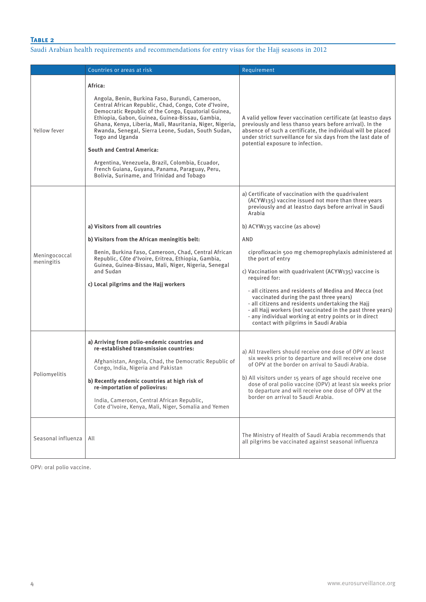# **Table 2**

# Saudi Arabian health requirements and recommendations for entry visas for the Hajj seasons in 2012

|                             | Countries or areas at risk                                                                                                                                                                                                                                                                                                                                                                                                                                                                                                                                   | Requirement                                                                                                                                                                                                                                                                                                                                                                                                                                                                                                                                                                                                                                                                                             |
|-----------------------------|--------------------------------------------------------------------------------------------------------------------------------------------------------------------------------------------------------------------------------------------------------------------------------------------------------------------------------------------------------------------------------------------------------------------------------------------------------------------------------------------------------------------------------------------------------------|---------------------------------------------------------------------------------------------------------------------------------------------------------------------------------------------------------------------------------------------------------------------------------------------------------------------------------------------------------------------------------------------------------------------------------------------------------------------------------------------------------------------------------------------------------------------------------------------------------------------------------------------------------------------------------------------------------|
| Yellow fever                | Africa:<br>Angola, Benin, Burkina Faso, Burundi, Cameroon,<br>Central African Republic, Chad, Congo, Cote d'Ivoire,<br>Democratic Republic of the Congo, Equatorial Guinea,<br>Ethiopia, Gabon, Guinea, Guinea-Bissau, Gambia,<br>Ghana, Kenya, Liberia, Mali, Mauritania, Niger, Nigeria,<br>Rwanda, Senegal, Sierra Leone, Sudan, South Sudan,<br>Togo and Uganda<br><b>South and Central America:</b><br>Argentina, Venezuela, Brazil, Colombia, Ecuador,<br>French Guiana, Guyana, Panama, Paraguay, Peru,<br>Bolivia, Suriname, and Trinidad and Tobago | A valid yellow fever vaccination certificate (at least10 days<br>previously and less than10 years before arrival). In the<br>absence of such a certificate, the individual will be placed<br>under strict surveillance for six days from the last date of<br>potential exposure to infection.                                                                                                                                                                                                                                                                                                                                                                                                           |
| Meningococcal<br>meningitis | a) Visitors from all countries<br>b) Visitors from the African meningitis belt:<br>Benin, Burkina Faso, Cameroon, Chad, Central African<br>Republic, Côte d'Ivoire, Eritrea, Ethiopia, Gambia,<br>Guinea, Guinea-Bissau, Mali, Niger, Nigeria, Senegal<br>and Sudan<br>c) Local pilgrims and the Hajj workers                                                                                                                                                                                                                                                | a) Certificate of vaccination with the quadrivalent<br>(ACYW135) vaccine issued not more than three years<br>previously and at least10 days before arrival in Saudi<br>Arabia<br>b) ACYW135 vaccine (as above)<br>AND<br>ciprofloxacin 500 mg chemoprophylaxis administered at<br>the port of entry<br>c) Vaccination with quadrivalent (ACYW135) vaccine is<br>required for:<br>- all citizens and residents of Medina and Mecca (not<br>vaccinated during the past three years)<br>- all citizens and residents undertaking the Hajj<br>- all Hajj workers (not vaccinated in the past three years)<br>- any individual working at entry points or in direct<br>contact with pilgrims in Saudi Arabia |
| Poliomyelitis               | a) Arriving from polio-endemic countries and<br>re-established transmission countries:<br>Afghanistan, Angola, Chad, the Democratic Republic of<br>Congo, India, Nigeria and Pakistan<br>b) Recently endemic countries at high risk of<br>re-importation of poliovirus:<br>India, Cameroon, Central African Republic,<br>Cote d'Ivoire, Kenya, Mali, Niger, Somalia and Yemen                                                                                                                                                                                | a) All travellers should receive one dose of OPV at least<br>six weeks prior to departure and will receive one dose<br>of OPV at the border on arrival to Saudi Arabia.<br>b) All visitors under 15 years of age should receive one<br>dose of oral polio vaccine (OPV) at least six weeks prior<br>to departure and will receive one dose of OPV at the<br>border on arrival to Saudi Arabia.                                                                                                                                                                                                                                                                                                          |
| Seasonal influenza          | All                                                                                                                                                                                                                                                                                                                                                                                                                                                                                                                                                          | The Ministry of Health of Saudi Arabia recommends that<br>all pilgrims be vaccinated against seasonal influenza                                                                                                                                                                                                                                                                                                                                                                                                                                                                                                                                                                                         |

OPV: oral polio vaccine.